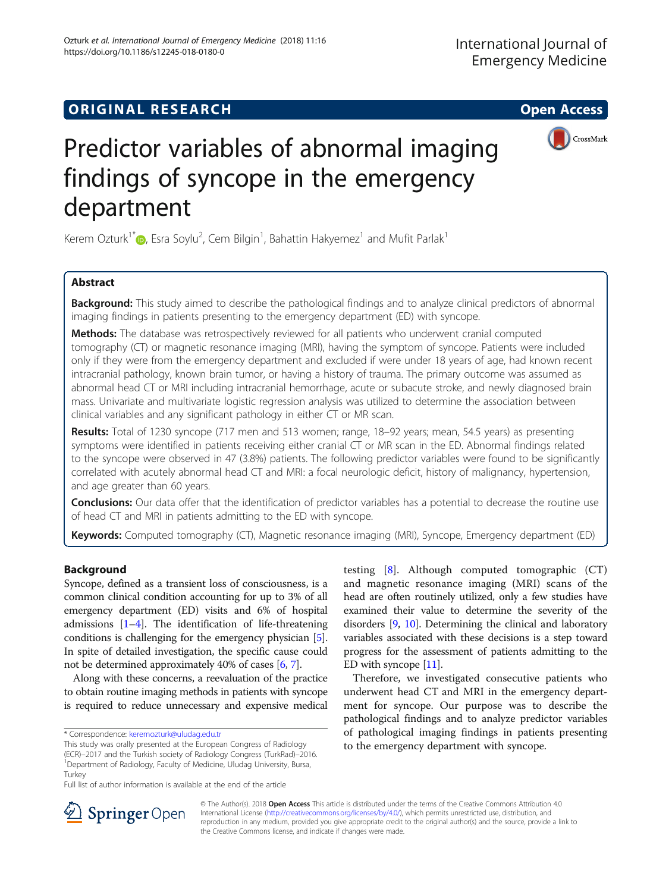# **ORIGINAL RESEARCH CONSUMING ACCESS**



# Predictor variables of abnormal imaging findings of syncope in the emergency department

Kerem Ozturk<sup>1[\\*](http://orcid.org/0000-0001-9664-2347)</sup> $\textbf{\textcircled{\textcirc}}$ , Esra Soylu<sup>2</sup>, Cem Bilgin<sup>1</sup>, Bahattin Hakyemez<sup>1</sup> and Mufit Parlak<sup>1</sup>

# Abstract

**Background:** This study aimed to describe the pathological findings and to analyze clinical predictors of abnormal imaging findings in patients presenting to the emergency department (ED) with syncope.

Methods: The database was retrospectively reviewed for all patients who underwent cranial computed tomography (CT) or magnetic resonance imaging (MRI), having the symptom of syncope. Patients were included only if they were from the emergency department and excluded if were under 18 years of age, had known recent intracranial pathology, known brain tumor, or having a history of trauma. The primary outcome was assumed as abnormal head CT or MRI including intracranial hemorrhage, acute or subacute stroke, and newly diagnosed brain mass. Univariate and multivariate logistic regression analysis was utilized to determine the association between clinical variables and any significant pathology in either CT or MR scan.

Results: Total of 1230 syncope (717 men and 513 women; range, 18-92 years; mean, 54.5 years) as presenting symptoms were identified in patients receiving either cranial CT or MR scan in the ED. Abnormal findings related to the syncope were observed in 47 (3.8%) patients. The following predictor variables were found to be significantly correlated with acutely abnormal head CT and MRI: a focal neurologic deficit, history of malignancy, hypertension, and age greater than 60 years.

**Conclusions:** Our data offer that the identification of predictor variables has a potential to decrease the routine use of head CT and MRI in patients admitting to the ED with syncope.

Keywords: Computed tomography (CT), Magnetic resonance imaging (MRI), Syncope, Emergency department (ED)

# Background

Syncope, defined as a transient loss of consciousness, is a common clinical condition accounting for up to 3% of all emergency department (ED) visits and 6% of hospital admissions [\[1](#page-4-0)–[4\]](#page-4-0). The identification of life-threatening conditions is challenging for the emergency physician [[5](#page-4-0)]. In spite of detailed investigation, the specific cause could not be determined approximately 40% of cases [\[6](#page-4-0), [7\]](#page-4-0).

Along with these concerns, a reevaluation of the practice to obtain routine imaging methods in patients with syncope is required to reduce unnecessary and expensive medical

This study was orally presented at the European Congress of Radiology (ECR)–2017 and the Turkish society of Radiology Congress (TurkRad)–2016. <sup>1</sup> <sup>1</sup>Department of Radiology, Faculty of Medicine, Uludag University, Bursa, Turkey

testing [[8](#page-4-0)]. Although computed tomographic (CT) and magnetic resonance imaging (MRI) scans of the head are often routinely utilized, only a few studies have examined their value to determine the severity of the disorders [\[9,](#page-4-0) [10](#page-4-0)]. Determining the clinical and laboratory variables associated with these decisions is a step toward progress for the assessment of patients admitting to the ED with syncope [[11](#page-4-0)].

Therefore, we investigated consecutive patients who underwent head CT and MRI in the emergency department for syncope. Our purpose was to describe the pathological findings and to analyze predictor variables of pathological imaging findings in patients presenting to the emergency department with syncope.



© The Author(s). 2018 Open Access This article is distributed under the terms of the Creative Commons Attribution 4.0 International License ([http://creativecommons.org/licenses/by/4.0/\)](http://creativecommons.org/licenses/by/4.0/), which permits unrestricted use, distribution, and reproduction in any medium, provided you give appropriate credit to the original author(s) and the source, provide a link to the Creative Commons license, and indicate if changes were made.

<sup>\*</sup> Correspondence: [keremozturk@uludag.edu.tr](mailto:keremozturk@uludag.edu.tr)

Full list of author information is available at the end of the article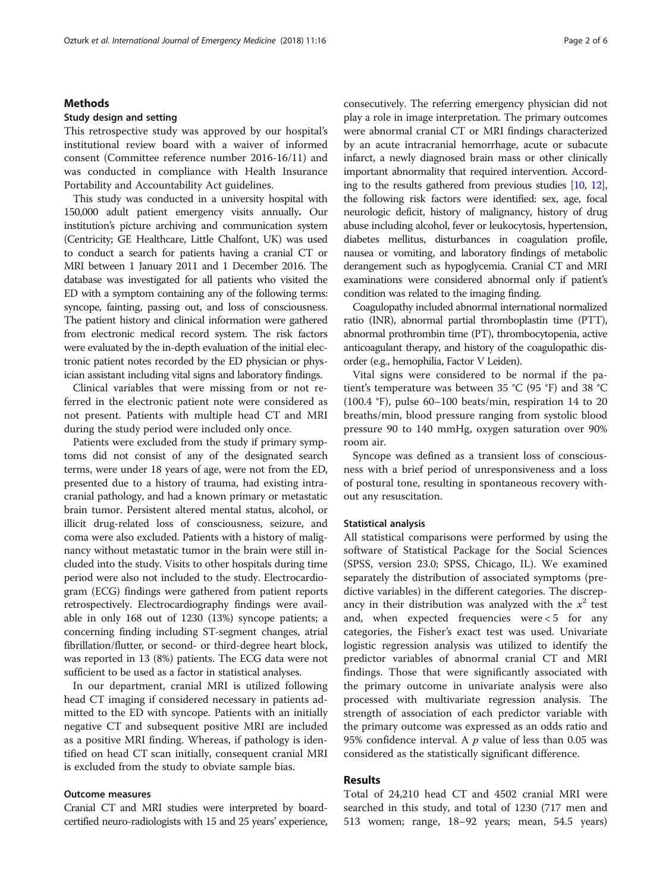## Methods

# Study design and setting

This retrospective study was approved by our hospital's institutional review board with a waiver of informed consent (Committee reference number 2016-16/11) and was conducted in compliance with Health Insurance Portability and Accountability Act guidelines.

This study was conducted in a university hospital with 150,000 adult patient emergency visits annually. Our institution's picture archiving and communication system (Centricity; GE Healthcare, Little Chalfont, UK) was used to conduct a search for patients having a cranial CT or MRI between 1 January 2011 and 1 December 2016. The database was investigated for all patients who visited the ED with a symptom containing any of the following terms: syncope, fainting, passing out, and loss of consciousness. The patient history and clinical information were gathered from electronic medical record system. The risk factors were evaluated by the in-depth evaluation of the initial electronic patient notes recorded by the ED physician or physician assistant including vital signs and laboratory findings.

Clinical variables that were missing from or not referred in the electronic patient note were considered as not present. Patients with multiple head CT and MRI during the study period were included only once.

Patients were excluded from the study if primary symptoms did not consist of any of the designated search terms, were under 18 years of age, were not from the ED, presented due to a history of trauma, had existing intracranial pathology, and had a known primary or metastatic brain tumor. Persistent altered mental status, alcohol, or illicit drug-related loss of consciousness, seizure, and coma were also excluded. Patients with a history of malignancy without metastatic tumor in the brain were still included into the study. Visits to other hospitals during time period were also not included to the study. Electrocardiogram (ECG) findings were gathered from patient reports retrospectively. Electrocardiography findings were available in only 168 out of 1230 (13%) syncope patients; a concerning finding including ST-segment changes, atrial fibrillation/flutter, or second- or third-degree heart block, was reported in 13 (8%) patients. The ECG data were not sufficient to be used as a factor in statistical analyses.

In our department, cranial MRI is utilized following head CT imaging if considered necessary in patients admitted to the ED with syncope. Patients with an initially negative CT and subsequent positive MRI are included as a positive MRI finding. Whereas, if pathology is identified on head CT scan initially, consequent cranial MRI is excluded from the study to obviate sample bias.

# Outcome measures

Cranial CT and MRI studies were interpreted by boardcertified neuro-radiologists with 15 and 25 years' experience, consecutively. The referring emergency physician did not play a role in image interpretation. The primary outcomes were abnormal cranial CT or MRI findings characterized by an acute intracranial hemorrhage, acute or subacute infarct, a newly diagnosed brain mass or other clinically important abnormality that required intervention. According to the results gathered from previous studies [[10](#page-4-0), [12](#page-4-0)], the following risk factors were identified: sex, age, focal neurologic deficit, history of malignancy, history of drug abuse including alcohol, fever or leukocytosis, hypertension, diabetes mellitus, disturbances in coagulation profile, nausea or vomiting, and laboratory findings of metabolic derangement such as hypoglycemia. Cranial CT and MRI examinations were considered abnormal only if patient's condition was related to the imaging finding.

Coagulopathy included abnormal international normalized ratio (INR), abnormal partial thromboplastin time (PTT), abnormal prothrombin time (PT), thrombocytopenia, active anticoagulant therapy, and history of the coagulopathic disorder (e.g., hemophilia, Factor V Leiden).

Vital signs were considered to be normal if the patient's temperature was between 35 °C (95 °F) and 38 °C (100.4 °F), pulse 60–100 beats/min, respiration 14 to 20 breaths/min, blood pressure ranging from systolic blood pressure 90 to 140 mmHg, oxygen saturation over 90% room air.

Syncope was defined as a transient loss of consciousness with a brief period of unresponsiveness and a loss of postural tone, resulting in spontaneous recovery without any resuscitation.

## Statistical analysis

All statistical comparisons were performed by using the software of Statistical Package for the Social Sciences (SPSS, version 23.0; SPSS, Chicago, IL). We examined separately the distribution of associated symptoms (predictive variables) in the different categories. The discrepancy in their distribution was analyzed with the  $x^2$  test and, when expected frequencies were  $< 5$  for any categories, the Fisher's exact test was used. Univariate logistic regression analysis was utilized to identify the predictor variables of abnormal cranial CT and MRI findings. Those that were significantly associated with the primary outcome in univariate analysis were also processed with multivariate regression analysis. The strength of association of each predictor variable with the primary outcome was expressed as an odds ratio and 95% confidence interval. A  $p$  value of less than 0.05 was considered as the statistically significant difference.

# Results

Total of 24,210 head CT and 4502 cranial MRI were searched in this study, and total of 1230 (717 men and 513 women; range, 18–92 years; mean, 54.5 years)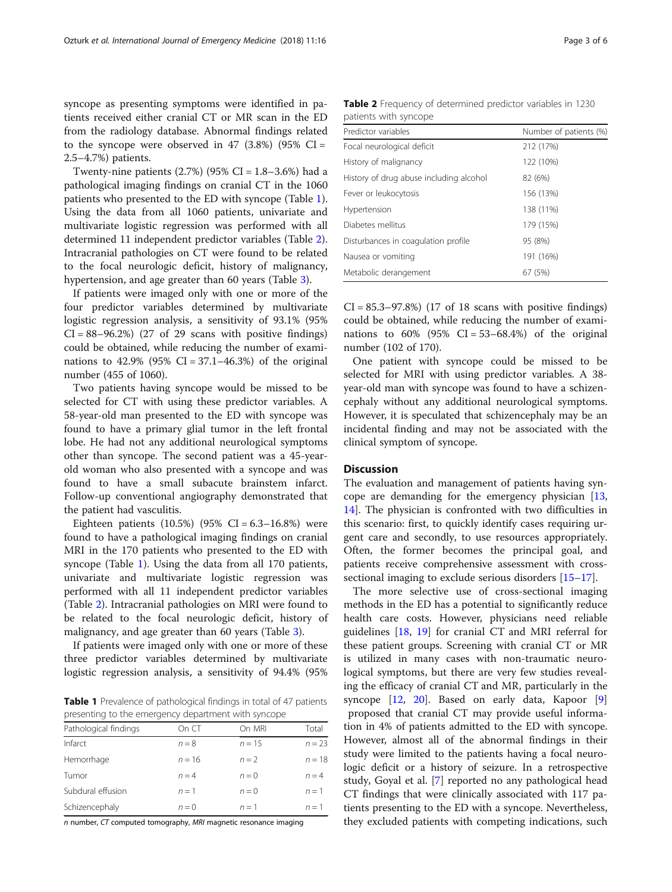syncope as presenting symptoms were identified in patients received either cranial CT or MR scan in the ED from the radiology database. Abnormal findings related to the syncope were observed in 47  $(3.8%)$   $(95%$  CI = 2.5–4.7%) patients.

Twenty-nine patients  $(2.7%)$   $(95% CI = 1.8-3.6%)$  had a pathological imaging findings on cranial CT in the 1060 patients who presented to the ED with syncope (Table 1). Using the data from all 1060 patients, univariate and multivariate logistic regression was performed with all determined 11 independent predictor variables (Table 2). Intracranial pathologies on CT were found to be related to the focal neurologic deficit, history of malignancy, hypertension, and age greater than 60 years (Table [3](#page-3-0)).

If patients were imaged only with one or more of the four predictor variables determined by multivariate logistic regression analysis, a sensitivity of 93.1% (95%  $CI = 88-96.2%$  (27 of 29 scans with positive findings) could be obtained, while reducing the number of examinations to 42.9% (95% CI = 37.1–46.3%) of the original number (455 of 1060).

Two patients having syncope would be missed to be selected for CT with using these predictor variables. A 58-year-old man presented to the ED with syncope was found to have a primary glial tumor in the left frontal lobe. He had not any additional neurological symptoms other than syncope. The second patient was a 45-yearold woman who also presented with a syncope and was found to have a small subacute brainstem infarct. Follow-up conventional angiography demonstrated that the patient had vasculitis.

Eighteen patients  $(10.5%) (95% CI = 6.3–16.8%)$  were found to have a pathological imaging findings on cranial MRI in the 170 patients who presented to the ED with syncope (Table 1). Using the data from all 170 patients, univariate and multivariate logistic regression was performed with all 11 independent predictor variables (Table 2). Intracranial pathologies on MRI were found to be related to the focal neurologic deficit, history of malignancy, and age greater than 60 years (Table [3\)](#page-3-0).

If patients were imaged only with one or more of these three predictor variables determined by multivariate logistic regression analysis, a sensitivity of 94.4% (95%

Table 1 Prevalence of pathological findings in total of 47 patients presenting to the emergency department with syncope

| On CT    | On MRI   | Total    |
|----------|----------|----------|
| $n = 8$  | $n = 15$ | $n = 23$ |
| $n = 16$ | $n = 2$  | $n = 18$ |
| $n = 4$  | $n=0$    | $n = 4$  |
| $n=1$    | $n=0$    | $n=1$    |
| $n=0$    | $n=1$    | $n=1$    |
|          |          |          |

n number, CT computed tomography, MRI magnetic resonance imaging

Table 2 Frequency of determined predictor variables in 1230 patients with syncope

| Predictor variables                     | Number of patients (%) |  |
|-----------------------------------------|------------------------|--|
| Focal neurological deficit              | 212 (17%)              |  |
| History of malignancy                   | 122 (10%)              |  |
| History of drug abuse including alcohol | 82 (6%)                |  |
| Fever or leukocytosis                   | 156 (13%)              |  |
| Hypertension                            | 138 (11%)              |  |
| Diabetes mellitus                       | 179 (15%)              |  |
| Disturbances in coagulation profile     | 95 (8%)                |  |
| Nausea or vomiting                      | 191 (16%)              |  |
| Metabolic derangement                   | 67 (5%)                |  |

 $CI = 85.3 - 97.8\%$ ) (17 of 18 scans with positive findings) could be obtained, while reducing the number of examinations to  $60\%$  (95% CI = 53–68.4%) of the original number (102 of 170).

One patient with syncope could be missed to be selected for MRI with using predictor variables. A 38 year-old man with syncope was found to have a schizencephaly without any additional neurological symptoms. However, it is speculated that schizencephaly may be an incidental finding and may not be associated with the clinical symptom of syncope.

### **Discussion**

The evaluation and management of patients having syncope are demanding for the emergency physician  $[13, 13]$  $[13, 13]$  $[13, 13]$ [14\]](#page-4-0). The physician is confronted with two difficulties in this scenario: first, to quickly identify cases requiring urgent care and secondly, to use resources appropriately. Often, the former becomes the principal goal, and patients receive comprehensive assessment with cross-sectional imaging to exclude serious disorders [\[15](#page-4-0)–[17\]](#page-5-0).

The more selective use of cross-sectional imaging methods in the ED has a potential to significantly reduce health care costs. However, physicians need reliable guidelines [\[18,](#page-5-0) [19](#page-5-0)] for cranial CT and MRI referral for these patient groups. Screening with cranial CT or MR is utilized in many cases with non-traumatic neurological symptoms, but there are very few studies revealing the efficacy of cranial CT and MR, particularly in the syncope [[12](#page-4-0), [20](#page-5-0)]. Based on early data, Kapoor [\[9](#page-4-0)] proposed that cranial CT may provide useful information in 4% of patients admitted to the ED with syncope. However, almost all of the abnormal findings in their study were limited to the patients having a focal neurologic deficit or a history of seizure. In a retrospective study, Goyal et al. [[7](#page-4-0)] reported no any pathological head CT findings that were clinically associated with 117 patients presenting to the ED with a syncope. Nevertheless, they excluded patients with competing indications, such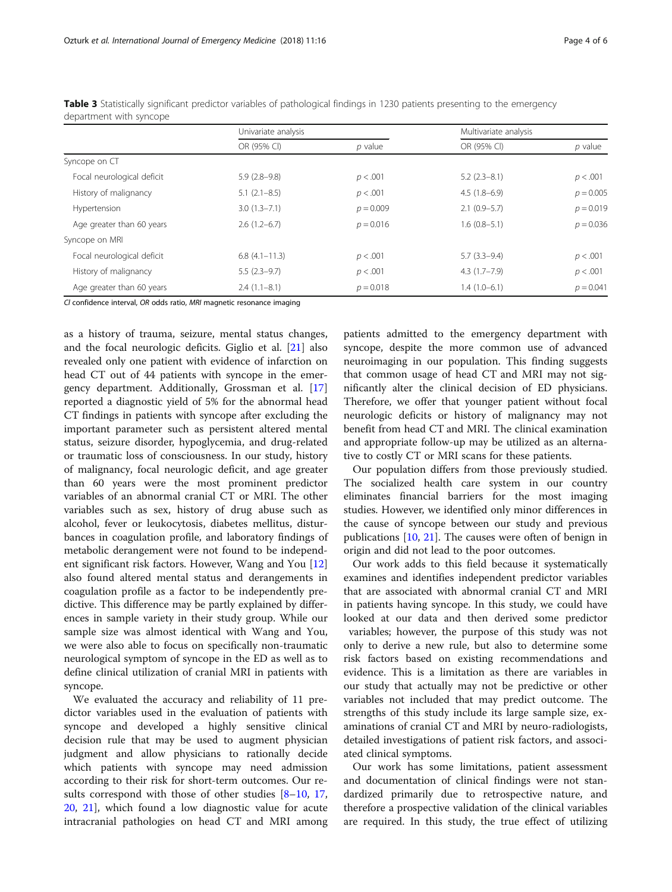|                            | Univariate analysis |             | Multivariate analysis |             |
|----------------------------|---------------------|-------------|-----------------------|-------------|
|                            | OR (95% CI)         | $p$ value   | OR (95% CI)           | $p$ value   |
| Syncope on CT              |                     |             |                       |             |
| Focal neurological deficit | $5.9(2.8-9.8)$      | p < .001    | $5.2(2.3-8.1)$        | p < .001    |
| History of malignancy      | $5.1(2.1-8.5)$      | p < .001    | $4.5(1.8-6.9)$        | $p = 0.005$ |
| Hypertension               | $3.0(1.3 - 7.1)$    | $p = 0.009$ | $2.1(0.9-5.7)$        | $p = 0.019$ |
| Age greater than 60 years  | $2.6(1.2-6.7)$      | $p = 0.016$ | $1.6(0.8-5.1)$        | $p = 0.036$ |
| Syncope on MRI             |                     |             |                       |             |
| Focal neurological deficit | $6.8(4.1 - 11.3)$   | p < .001    | $5.7(3.3-9.4)$        | p < .001    |
| History of malignancy      | $5.5(2.3-9.7)$      | p < .001    | $4.3(1.7-7.9)$        | p < .001    |
| Age greater than 60 years  | $2.4(1.1-8.1)$      | $p = 0.018$ | $1.4(1.0-6.1)$        | $p = 0.041$ |

<span id="page-3-0"></span>Table 3 Statistically significant predictor variables of pathological findings in 1230 patients presenting to the emergency department with syncope

Cl confidence interval, OR odds ratio, MRI magnetic resonance imaging

as a history of trauma, seizure, mental status changes, and the focal neurologic deficits. Giglio et al. [\[21](#page-5-0)] also revealed only one patient with evidence of infarction on head CT out of 44 patients with syncope in the emergency department. Additionally, Grossman et al. [[17](#page-5-0)] reported a diagnostic yield of 5% for the abnormal head CT findings in patients with syncope after excluding the important parameter such as persistent altered mental status, seizure disorder, hypoglycemia, and drug-related or traumatic loss of consciousness. In our study, history of malignancy, focal neurologic deficit, and age greater than 60 years were the most prominent predictor variables of an abnormal cranial CT or MRI. The other variables such as sex, history of drug abuse such as alcohol, fever or leukocytosis, diabetes mellitus, disturbances in coagulation profile, and laboratory findings of metabolic derangement were not found to be independent significant risk factors. However, Wang and You [[12](#page-4-0)] also found altered mental status and derangements in coagulation profile as a factor to be independently predictive. This difference may be partly explained by differences in sample variety in their study group. While our sample size was almost identical with Wang and You, we were also able to focus on specifically non-traumatic neurological symptom of syncope in the ED as well as to define clinical utilization of cranial MRI in patients with syncope.

We evaluated the accuracy and reliability of 11 predictor variables used in the evaluation of patients with syncope and developed a highly sensitive clinical decision rule that may be used to augment physician judgment and allow physicians to rationally decide which patients with syncope may need admission according to their risk for short-term outcomes. Our results correspond with those of other studies  $[8-10, 17, 17]$  $[8-10, 17, 17]$  $[8-10, 17, 17]$  $[8-10, 17, 17]$  $[8-10, 17, 17]$  $[8-10, 17, 17]$  $[8-10, 17, 17]$ [20,](#page-5-0) [21](#page-5-0)], which found a low diagnostic value for acute intracranial pathologies on head CT and MRI among patients admitted to the emergency department with syncope, despite the more common use of advanced neuroimaging in our population. This finding suggests that common usage of head CT and MRI may not significantly alter the clinical decision of ED physicians. Therefore, we offer that younger patient without focal neurologic deficits or history of malignancy may not benefit from head CT and MRI. The clinical examination and appropriate follow-up may be utilized as an alternative to costly CT or MRI scans for these patients.

Our population differs from those previously studied. The socialized health care system in our country eliminates financial barriers for the most imaging studies. However, we identified only minor differences in the cause of syncope between our study and previous publications [[10](#page-4-0), [21](#page-5-0)]. The causes were often of benign in origin and did not lead to the poor outcomes.

Our work adds to this field because it systematically examines and identifies independent predictor variables that are associated with abnormal cranial CT and MRI in patients having syncope. In this study, we could have looked at our data and then derived some predictor variables; however, the purpose of this study was not only to derive a new rule, but also to determine some risk factors based on existing recommendations and evidence. This is a limitation as there are variables in our study that actually may not be predictive or other variables not included that may predict outcome. The strengths of this study include its large sample size, examinations of cranial CT and MRI by neuro-radiologists, detailed investigations of patient risk factors, and associated clinical symptoms.

Our work has some limitations, patient assessment and documentation of clinical findings were not standardized primarily due to retrospective nature, and therefore a prospective validation of the clinical variables are required. In this study, the true effect of utilizing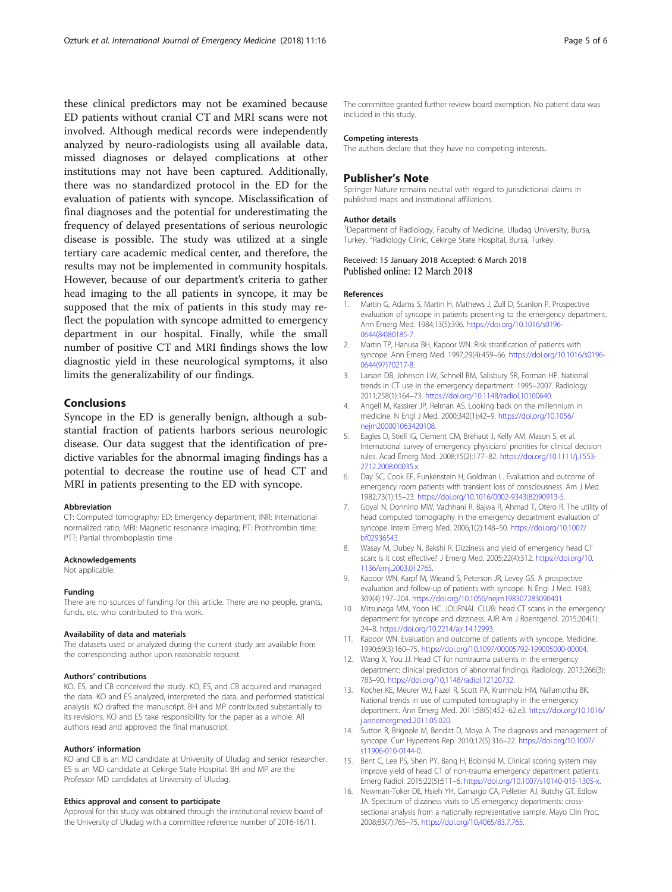<span id="page-4-0"></span>these clinical predictors may not be examined because ED patients without cranial CT and MRI scans were not involved. Although medical records were independently analyzed by neuro-radiologists using all available data, missed diagnoses or delayed complications at other institutions may not have been captured. Additionally, there was no standardized protocol in the ED for the evaluation of patients with syncope. Misclassification of final diagnoses and the potential for underestimating the frequency of delayed presentations of serious neurologic disease is possible. The study was utilized at a single tertiary care academic medical center, and therefore, the results may not be implemented in community hospitals. However, because of our department's criteria to gather head imaging to the all patients in syncope, it may be supposed that the mix of patients in this study may reflect the population with syncope admitted to emergency department in our hospital. Finally, while the small number of positive CT and MRI findings shows the low diagnostic yield in these neurological symptoms, it also limits the generalizability of our findings.

# Conclusions

Syncope in the ED is generally benign, although a substantial fraction of patients harbors serious neurologic disease. Our data suggest that the identification of predictive variables for the abnormal imaging findings has a potential to decrease the routine use of head CT and MRI in patients presenting to the ED with syncope.

#### Abbreviation

CT: Computed tomography; ED: Emergency department; INR: International normalized ratio; MRI: Magnetic resonance imaging; PT: Prothrombin time; PTT: Partial thromboplastin time

#### Acknowledgements

Not applicable.

#### Funding

There are no sources of funding for this article. There are no people, grants, funds, etc. who contributed to this work.

#### Availability of data and materials

The datasets used or analyzed during the current study are available from the corresponding author upon reasonable request.

#### Authors' contributions

KO, ES, and CB conceived the study. KO, ES, and CB acquired and managed the data. KO and ES analyzed, interpreted the data, and performed statistical analysis. KO drafted the manuscript. BH and MP contributed substantially to its revisions. KO and ES take responsibility for the paper as a whole. All authors read and approved the final manuscript.

#### Authors' information

KO and CB is an MD candidate at University of Uludag and senior researcher. ES is an MD candidate at Cekirge State Hospital. BH and MP are the Professor MD candidates at University of Uludag.

#### Ethics approval and consent to participate

Approval for this study was obtained through the institutional review board of the University of Uludag with a committee reference number of 2016-16/11.

The committee granted further review board exemption. No patient data was included in this study.

#### Competing interests

The authors declare that they have no competing interests.

## Publisher's Note

Springer Nature remains neutral with regard to jurisdictional claims in published maps and institutional affiliations.

#### Author details

<sup>1</sup>Department of Radiology, Faculty of Medicine, Uludag University, Bursa, Turkey. <sup>2</sup> Radiology Clinic, Cekirge State Hospital, Bursa, Turkey.

#### Received: 15 January 2018 Accepted: 6 March 2018 Published online: 12 March 2018

#### References

- 1. Martin G, Adams S, Martin H, Mathews J, Zull D, Scanlon P. Prospective evaluation of syncope in patients presenting to the emergency department. Ann Emerg Med. 1984;13(5):396. [https://doi.org/10.1016/s0196-](https://doi.org/10.1016/s0196-0644(84)80185-7) [0644\(84\)80185-7](https://doi.org/10.1016/s0196-0644(84)80185-7).
- 2. Martin TP, Hanusa BH, Kapoor WN. Risk stratification of patients with syncope. Ann Emerg Med. 1997;29(4):459–66. [https://doi.org/10.1016/s0196-](https://doi.org/10.1016/s0196-0644(97)70217-8) [0644\(97\)70217-8](https://doi.org/10.1016/s0196-0644(97)70217-8).
- 3. Larson DB, Johnson LW, Schnell BM, Salisbury SR, Forman HP. National trends in CT use in the emergency department: 1995–2007. Radiology. 2011;258(1):164–73. [https://doi.org/10.1148/radiol.10100640.](https://doi.org/10.1148/radiol.10100640)
- 4. Angell M, Kassirer JP, Relman AS. Looking back on the millennium in medicine. N Engl J Med. 2000;342(1):42–9. [https://doi.org/10.1056/](https://doi.org/10.1056/nejm200001063420108) [nejm200001063420108](https://doi.org/10.1056/nejm200001063420108).
- 5. Eagles D, Stiell IG, Clement CM, Brehaut J, Kelly AM, Mason S, et al. International survey of emergency physicians' priorities for clinical decision rules. Acad Emerg Med. 2008;15(2):177–82. [https://doi.org/10.1111/j.1553-](https://doi.org/10.1111/j.1553-2712.2008.00035.x) [2712.2008.00035.x.](https://doi.org/10.1111/j.1553-2712.2008.00035.x)
- 6. Day SC, Cook EF, Funkenstein H, Goldman L. Evaluation and outcome of emergency room patients with transient loss of consciousness. Am J Med. 1982;73(1):15–23. [https://doi.org/10.1016/0002-9343\(82\)90913-5.](https://doi.org/10.1016/0002-9343(82)90913-5)
- 7. Goyal N, Donnino MW, Vachhani R, Bajwa R, Ahmad T, Otero R. The utility of head computed tomography in the emergency department evaluation of syncope. Intern Emerg Med. 2006;1(2):148–50. [https://doi.org/10.1007/](https://doi.org/10.1007/bf02936543) [bf02936543.](https://doi.org/10.1007/bf02936543)
- 8. Wasay M, Dubey N, Bakshi R. Dizziness and yield of emergency head CT scan: is it cost effective? J Emerg Med. 2005;22(4):312. [https://doi.org/10.](https://doi.org/10.1136/emj.2003.012765) [1136/emj.2003.012765](https://doi.org/10.1136/emj.2003.012765).
- 9. Kapoor WN, Karpf M, Wieand S, Peterson JR, Levey GS. A prospective evaluation and follow-up of patients with syncope. N Engl J Med. 1983; 309(4):197–204. [https://doi.org/10.1056/nejm198307283090401.](https://doi.org/10.1056/nejm198307283090401)
- 10. Mitsunaga MM, Yoon HC. JOURNAL CLUB: head CT scans in the emergency department for syncope and dizziness. AJR Am J Roentgenol. 2015;204(1): 24–8. <https://doi.org/10.2214/ajr.14.12993>.
- 11. Kapoor WN. Evaluation and outcome of patients with syncope. Medicine. 1990;69(3):160–75. <https://doi.org/10.1097/00005792-199005000-00004>.
- 12. Wang X, You JJ. Head CT for nontrauma patients in the emergency department: clinical predictors of abnormal findings. Radiology. 2013;266(3): 783–90. <https://doi.org/10.1148/radiol.12120732>.
- 13. Kocher KE, Meurer WJ, Fazel R, Scott PA, Krumholz HM, Nallamothu BK. National trends in use of computed tomography in the emergency department. Ann Emerg Med. 2011;58(5):452–62.e3. [https://doi.org/10.1016/](https://doi.org/10.1016/j.annemergmed.2011.05.020) [j.annemergmed.2011.05.020](https://doi.org/10.1016/j.annemergmed.2011.05.020).
- 14. Sutton R, Brignole M, Benditt D, Moya A. The diagnosis and management of syncope. Curr Hypertens Rep. 2010;12(5):316–22. [https://doi.org/10.1007/](https://doi.org/10.1007/s11906-010-0144-0) [s11906-010-0144-0.](https://doi.org/10.1007/s11906-010-0144-0)
- 15. Bent C, Lee PS, Shen PY, Bang H, Bobinski M. Clinical scoring system may improve yield of head CT of non-trauma emergency department patients. Emerg Radiol. 2015;22(5):511–6. <https://doi.org/10.1007/s10140-015-1305-x>.
- 16. Newman-Toker DE, Hsieh YH, Camargo CA, Pelletier AJ, Butchy GT, Edlow JA. Spectrum of dizziness visits to US emergency departments: crosssectional analysis from a nationally representative sample. Mayo Clin Proc. 2008;83(7):765–75. [https://doi.org/10.4065/83.7.765.](https://doi.org/10.4065/83.7.765)